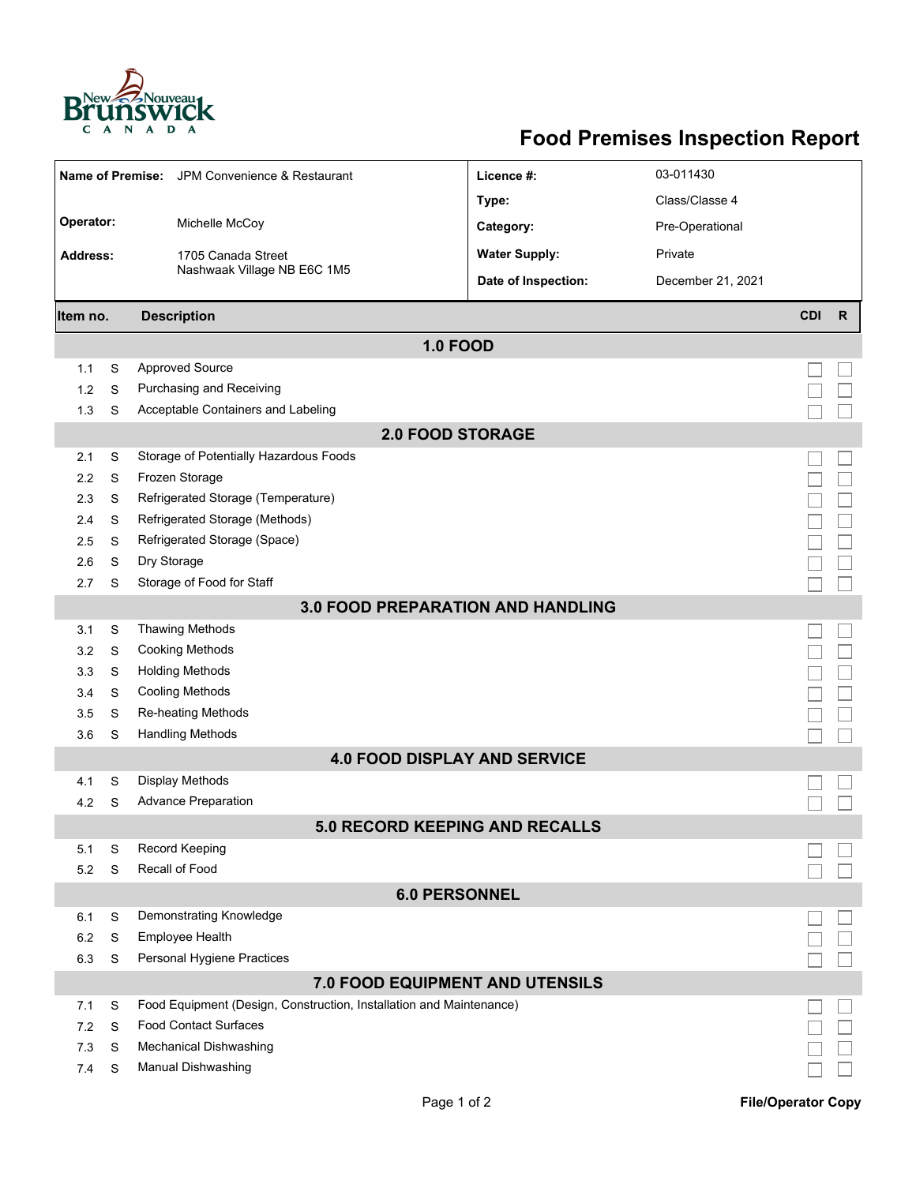

## **Food Premises Inspection Report**

| Name of Premise: JPM Convenience & Restaurant |   |                                                                     | Licence #:           | 03-011430         |            |              |  |  |  |
|-----------------------------------------------|---|---------------------------------------------------------------------|----------------------|-------------------|------------|--------------|--|--|--|
|                                               |   |                                                                     | Type:                | Class/Classe 4    |            |              |  |  |  |
| Operator:                                     |   | Michelle McCoy                                                      | Category:            | Pre-Operational   |            |              |  |  |  |
| Address:                                      |   |                                                                     | <b>Water Supply:</b> | Private           |            |              |  |  |  |
|                                               |   | 1705 Canada Street<br>Nashwaak Village NB E6C 1M5                   |                      |                   |            |              |  |  |  |
|                                               |   |                                                                     | Date of Inspection:  | December 21, 2021 |            |              |  |  |  |
| Item no.                                      |   | <b>Description</b>                                                  |                      |                   | <b>CDI</b> | $\mathsf{R}$ |  |  |  |
| <b>1.0 FOOD</b>                               |   |                                                                     |                      |                   |            |              |  |  |  |
| 1.1                                           | S | <b>Approved Source</b>                                              |                      |                   |            |              |  |  |  |
| 1.2                                           | S | Purchasing and Receiving                                            |                      |                   |            |              |  |  |  |
| 1.3                                           | S | Acceptable Containers and Labeling                                  |                      |                   |            |              |  |  |  |
| <b>2.0 FOOD STORAGE</b>                       |   |                                                                     |                      |                   |            |              |  |  |  |
| 2.1                                           | S | Storage of Potentially Hazardous Foods                              |                      |                   |            |              |  |  |  |
| 2.2                                           | S | Frozen Storage                                                      |                      |                   |            |              |  |  |  |
| 2.3                                           | S | Refrigerated Storage (Temperature)                                  |                      |                   |            |              |  |  |  |
| 2.4                                           | S | Refrigerated Storage (Methods)                                      |                      |                   |            |              |  |  |  |
| 2.5                                           | S | Refrigerated Storage (Space)                                        |                      |                   |            |              |  |  |  |
| 2.6                                           | S | Dry Storage                                                         |                      |                   |            |              |  |  |  |
| 2.7                                           | S | Storage of Food for Staff                                           |                      |                   |            |              |  |  |  |
| <b>3.0 FOOD PREPARATION AND HANDLING</b>      |   |                                                                     |                      |                   |            |              |  |  |  |
| 3.1                                           | S | <b>Thawing Methods</b>                                              |                      |                   |            |              |  |  |  |
| 3.2                                           | S | <b>Cooking Methods</b>                                              |                      |                   |            |              |  |  |  |
| 3.3                                           | S | <b>Holding Methods</b>                                              |                      |                   |            |              |  |  |  |
| 3.4                                           | S | <b>Cooling Methods</b>                                              |                      |                   |            |              |  |  |  |
| 3.5                                           | S | Re-heating Methods                                                  |                      |                   |            |              |  |  |  |
| 3.6                                           | S | <b>Handling Methods</b>                                             |                      |                   |            |              |  |  |  |
| <b>4.0 FOOD DISPLAY AND SERVICE</b>           |   |                                                                     |                      |                   |            |              |  |  |  |
| 4.1                                           | S | <b>Display Methods</b>                                              |                      |                   |            |              |  |  |  |
| 4.2                                           | S | <b>Advance Preparation</b>                                          |                      |                   |            |              |  |  |  |
| 5.0 RECORD KEEPING AND RECALLS                |   |                                                                     |                      |                   |            |              |  |  |  |
| 5.1                                           | S | Record Keeping                                                      |                      |                   |            |              |  |  |  |
| 5.2                                           | S | Recall of Food                                                      |                      |                   |            |              |  |  |  |
| <b>6.0 PERSONNEL</b>                          |   |                                                                     |                      |                   |            |              |  |  |  |
| 6.1                                           | S | Demonstrating Knowledge                                             |                      |                   |            |              |  |  |  |
| 6.2                                           | S | Employee Health                                                     |                      |                   |            |              |  |  |  |
| 6.3                                           | S | Personal Hygiene Practices                                          |                      |                   |            |              |  |  |  |
| 7.0 FOOD EQUIPMENT AND UTENSILS               |   |                                                                     |                      |                   |            |              |  |  |  |
| 7.1                                           | S | Food Equipment (Design, Construction, Installation and Maintenance) |                      |                   |            |              |  |  |  |
| 7.2                                           | S | <b>Food Contact Surfaces</b>                                        |                      |                   |            |              |  |  |  |
| 7.3                                           | S | <b>Mechanical Dishwashing</b>                                       |                      |                   |            |              |  |  |  |
| 7.4                                           | S | <b>Manual Dishwashing</b>                                           |                      |                   |            |              |  |  |  |